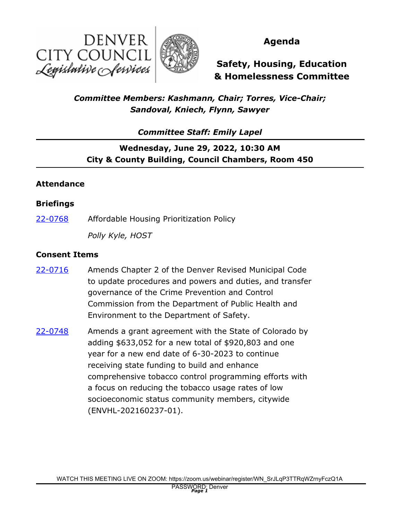



## **Agenda**

**Safety, Housing, Education & Homelessness Committee**

## *Committee Members: Kashmann, Chair; Torres, Vice-Chair; Sandoval, Kniech, Flynn, Sawyer*

*Committee Staff: Emily Lapel*

# **Wednesday, June 29, 2022, 10:30 AM City & County Building, Council Chambers, Room 450**

#### **Attendance**

#### **Briefings**

[22-0768](http://denver.legistar.com/gateway.aspx?m=l&id=/matter.aspx?key=21835) Affordable Housing Prioritization Policy

*Polly Kyle, HOST*

#### **Consent Items**

- Amends Chapter 2 of the Denver Revised Municipal Code to update procedures and powers and duties, and transfer governance of the Crime Prevention and Control Commission from the Department of Public Health and Environment to the Department of Safety. [22-0716](http://denver.legistar.com/gateway.aspx?m=l&id=/matter.aspx?key=21783)
- Amends a grant agreement with the State of Colorado by adding \$633,052 for a new total of \$920,803 and one year for a new end date of 6-30-2023 to continue receiving state funding to build and enhance comprehensive tobacco control programming efforts with a focus on reducing the tobacco usage rates of low socioeconomic status community members, citywide (ENVHL-202160237-01). [22-0748](http://denver.legistar.com/gateway.aspx?m=l&id=/matter.aspx?key=21815)